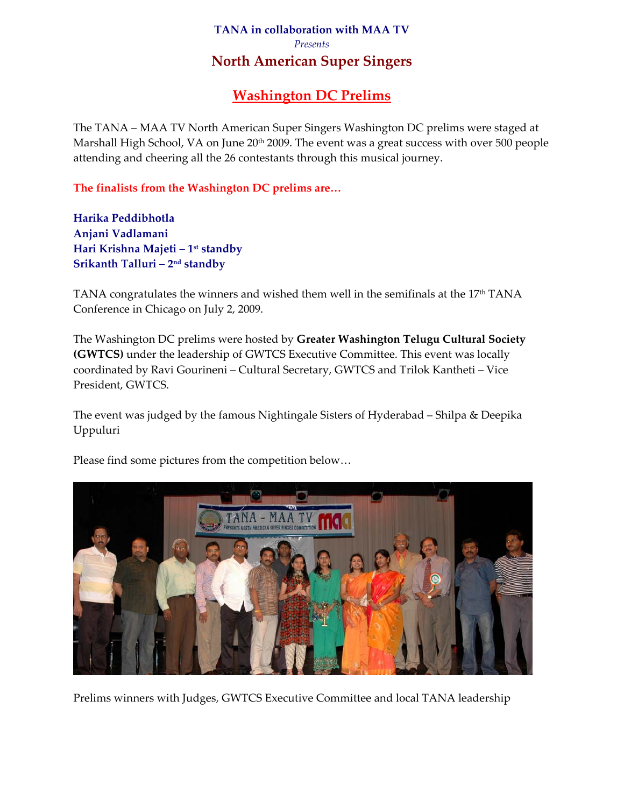## **TANA in collaboration with MAA TV**  *Presents*  **North American Super Singers**

## **Washington DC Prelims**

The TANA – MAA TV North American Super Singers Washington DC prelims were staged at Marshall High School, VA on June 20<sup>th</sup> 2009. The event was a great success with over 500 people attending and cheering all the 26 contestants through this musical journey.

**The finalists from the Washington DC prelims are…** 

**Harika Peddibhotla Anjani Vadlamani Hari Krishna Majeti – 1st standby Srikanth Talluri – 2nd standby**

TANA congratulates the winners and wished them well in the semifinals at the  $17<sup>th</sup>$  TANA Conference in Chicago on July 2, 2009.

The Washington DC prelims were hosted by **Greater Washington Telugu Cultural Society (GWTCS)** under the leadership of GWTCS Executive Committee. This event was locally coordinated by Ravi Gourineni – Cultural Secretary, GWTCS and Trilok Kantheti – Vice President, GWTCS.

The event was judged by the famous Nightingale Sisters of Hyderabad – Shilpa & Deepika Uppuluri



Please find some pictures from the competition below…

Prelims winners with Judges, GWTCS Executive Committee and local TANA leadership